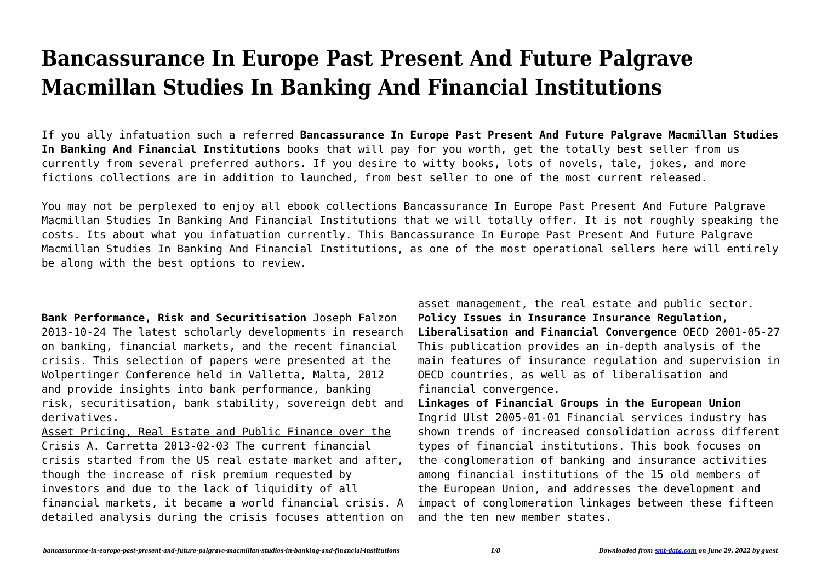## **Bancassurance In Europe Past Present And Future Palgrave Macmillan Studies In Banking And Financial Institutions**

If you ally infatuation such a referred **Bancassurance In Europe Past Present And Future Palgrave Macmillan Studies In Banking And Financial Institutions** books that will pay for you worth, get the totally best seller from us currently from several preferred authors. If you desire to witty books, lots of novels, tale, jokes, and more fictions collections are in addition to launched, from best seller to one of the most current released.

You may not be perplexed to enjoy all ebook collections Bancassurance In Europe Past Present And Future Palgrave Macmillan Studies In Banking And Financial Institutions that we will totally offer. It is not roughly speaking the costs. Its about what you infatuation currently. This Bancassurance In Europe Past Present And Future Palgrave Macmillan Studies In Banking And Financial Institutions, as one of the most operational sellers here will entirely be along with the best options to review.

**Bank Performance, Risk and Securitisation** Joseph Falzon 2013-10-24 The latest scholarly developments in research on banking, financial markets, and the recent financial crisis. This selection of papers were presented at the Wolpertinger Conference held in Valletta, Malta, 2012 and provide insights into bank performance, banking risk, securitisation, bank stability, sovereign debt and derivatives.

Asset Pricing, Real Estate and Public Finance over the Crisis A. Carretta 2013-02-03 The current financial crisis started from the US real estate market and after, though the increase of risk premium requested by investors and due to the lack of liquidity of all financial markets, it became a world financial crisis. A detailed analysis during the crisis focuses attention on

asset management, the real estate and public sector. **Policy Issues in Insurance Insurance Regulation, Liberalisation and Financial Convergence** OECD 2001-05-27 This publication provides an in-depth analysis of the main features of insurance regulation and supervision in OECD countries, as well as of liberalisation and financial convergence.

**Linkages of Financial Groups in the European Union** Ingrid Ulst 2005-01-01 Financial services industry has shown trends of increased consolidation across different types of financial institutions. This book focuses on the conglomeration of banking and insurance activities among financial institutions of the 15 old members of the European Union, and addresses the development and impact of conglomeration linkages between these fifteen and the ten new member states.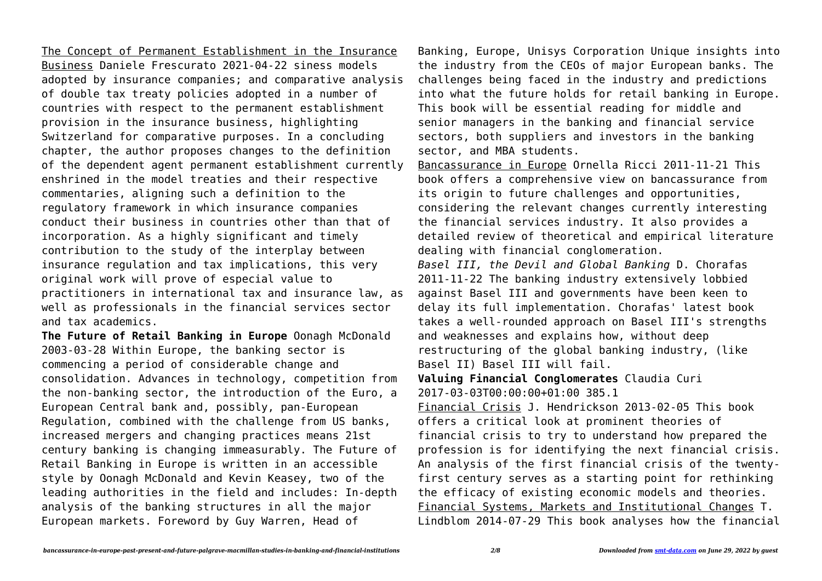The Concept of Permanent Establishment in the Insurance Business Daniele Frescurato 2021-04-22 siness models adopted by insurance companies; and comparative analysis of double tax treaty policies adopted in a number of countries with respect to the permanent establishment provision in the insurance business, highlighting Switzerland for comparative purposes. In a concluding chapter, the author proposes changes to the definition of the dependent agent permanent establishment currently enshrined in the model treaties and their respective commentaries, aligning such a definition to the regulatory framework in which insurance companies conduct their business in countries other than that of incorporation. As a highly significant and timely contribution to the study of the interplay between insurance regulation and tax implications, this very original work will prove of especial value to practitioners in international tax and insurance law, as well as professionals in the financial services sector and tax academics.

**The Future of Retail Banking in Europe** Oonagh McDonald 2003-03-28 Within Europe, the banking sector is commencing a period of considerable change and consolidation. Advances in technology, competition from the non-banking sector, the introduction of the Euro, a European Central bank and, possibly, pan-European Regulation, combined with the challenge from US banks, increased mergers and changing practices means 21st century banking is changing immeasurably. The Future of Retail Banking in Europe is written in an accessible style by Oonagh McDonald and Kevin Keasey, two of the leading authorities in the field and includes: In-depth analysis of the banking structures in all the major European markets. Foreword by Guy Warren, Head of

Banking, Europe, Unisys Corporation Unique insights into the industry from the CEOs of major European banks. The challenges being faced in the industry and predictions into what the future holds for retail banking in Europe. This book will be essential reading for middle and senior managers in the banking and financial service sectors, both suppliers and investors in the banking sector, and MBA students.

Bancassurance in Europe Ornella Ricci 2011-11-21 This book offers a comprehensive view on bancassurance from its origin to future challenges and opportunities, considering the relevant changes currently interesting the financial services industry. It also provides a detailed review of theoretical and empirical literature dealing with financial conglomeration.

*Basel III, the Devil and Global Banking* D. Chorafas 2011-11-22 The banking industry extensively lobbied against Basel III and governments have been keen to delay its full implementation. Chorafas' latest book takes a well-rounded approach on Basel III's strengths and weaknesses and explains how, without deep restructuring of the global banking industry, (like Basel II) Basel III will fail.

**Valuing Financial Conglomerates** Claudia Curi 2017-03-03T00:00:00+01:00 385.1

Financial Crisis J. Hendrickson 2013-02-05 This book offers a critical look at prominent theories of financial crisis to try to understand how prepared the profession is for identifying the next financial crisis. An analysis of the first financial crisis of the twentyfirst century serves as a starting point for rethinking the efficacy of existing economic models and theories. Financial Systems, Markets and Institutional Changes T. Lindblom 2014-07-29 This book analyses how the financial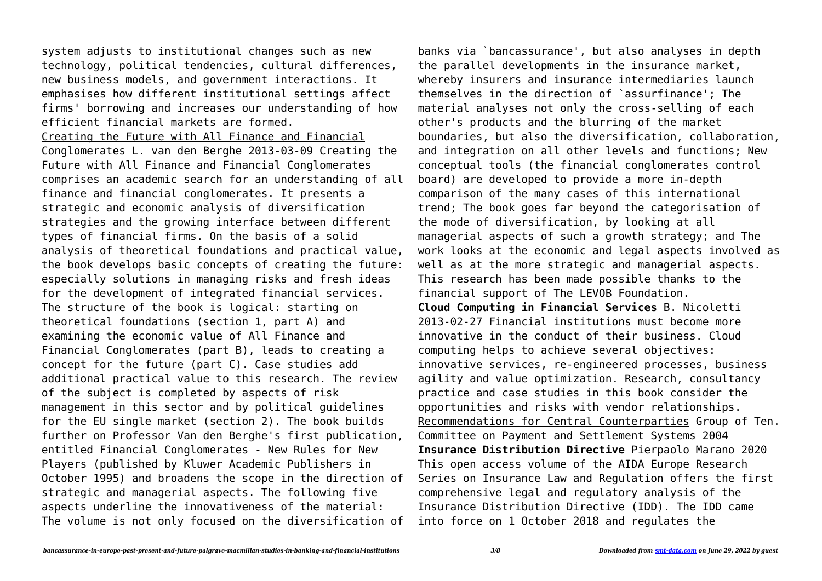system adjusts to institutional changes such as new technology, political tendencies, cultural differences, new business models, and government interactions. It emphasises how different institutional settings affect firms' borrowing and increases our understanding of how efficient financial markets are formed. Creating the Future with All Finance and Financial Conglomerates L. van den Berghe 2013-03-09 Creating the Future with All Finance and Financial Conglomerates comprises an academic search for an understanding of all finance and financial conglomerates. It presents a strategic and economic analysis of diversification strategies and the growing interface between different types of financial firms. On the basis of a solid analysis of theoretical foundations and practical value, the book develops basic concepts of creating the future: especially solutions in managing risks and fresh ideas for the development of integrated financial services. The structure of the book is logical: starting on theoretical foundations (section 1, part A) and examining the economic value of All Finance and Financial Conglomerates (part B), leads to creating a concept for the future (part C). Case studies add additional practical value to this research. The review of the subject is completed by aspects of risk management in this sector and by political guidelines for the EU single market (section 2). The book builds further on Professor Van den Berghe's first publication, entitled Financial Conglomerates - New Rules for New Players (published by Kluwer Academic Publishers in October 1995) and broadens the scope in the direction of strategic and managerial aspects. The following five aspects underline the innovativeness of the material: The volume is not only focused on the diversification of banks via `bancassurance', but also analyses in depth the parallel developments in the insurance market, whereby insurers and insurance intermediaries launch themselves in the direction of `assurfinance'; The material analyses not only the cross-selling of each other's products and the blurring of the market boundaries, but also the diversification, collaboration, and integration on all other levels and functions; New conceptual tools (the financial conglomerates control board) are developed to provide a more in-depth comparison of the many cases of this international trend; The book goes far beyond the categorisation of the mode of diversification, by looking at all managerial aspects of such a growth strategy; and The work looks at the economic and legal aspects involved as well as at the more strategic and managerial aspects. This research has been made possible thanks to the financial support of The LEVOB Foundation. **Cloud Computing in Financial Services** B. Nicoletti 2013-02-27 Financial institutions must become more innovative in the conduct of their business. Cloud computing helps to achieve several objectives: innovative services, re-engineered processes, business agility and value optimization. Research, consultancy practice and case studies in this book consider the opportunities and risks with vendor relationships. Recommendations for Central Counterparties Group of Ten. Committee on Payment and Settlement Systems 2004 **Insurance Distribution Directive** Pierpaolo Marano 2020 This open access volume of the AIDA Europe Research Series on Insurance Law and Regulation offers the first comprehensive legal and regulatory analysis of the

Insurance Distribution Directive (IDD). The IDD came

into force on 1 October 2018 and regulates the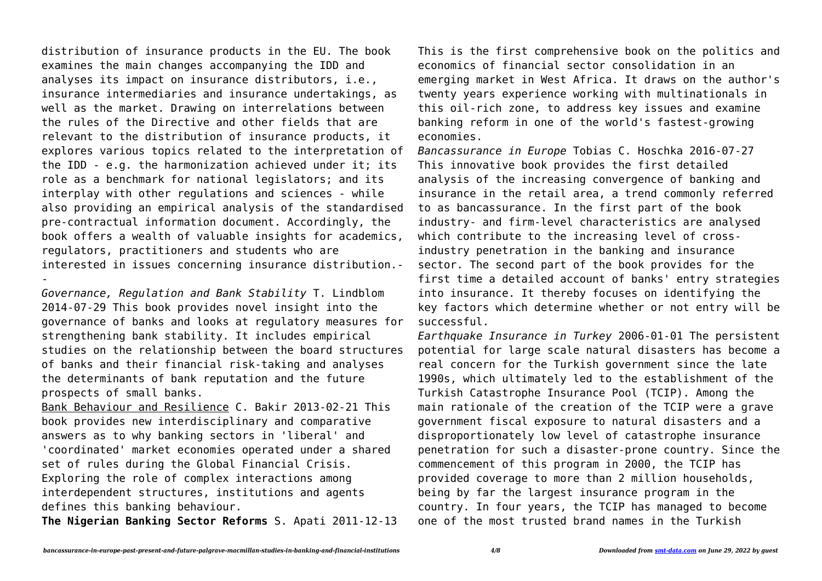distribution of insurance products in the EU. The book examines the main changes accompanying the IDD and analyses its impact on insurance distributors, i.e., insurance intermediaries and insurance undertakings, as well as the market. Drawing on interrelations between the rules of the Directive and other fields that are relevant to the distribution of insurance products, it explores various topics related to the interpretation of the IDD - e.g. the harmonization achieved under it; its role as a benchmark for national legislators; and its interplay with other regulations and sciences - while also providing an empirical analysis of the standardised pre-contractual information document. Accordingly, the book offers a wealth of valuable insights for academics, regulators, practitioners and students who are interested in issues concerning insurance distribution.- -

*Governance, Regulation and Bank Stability* T. Lindblom 2014-07-29 This book provides novel insight into the governance of banks and looks at regulatory measures for strengthening bank stability. It includes empirical studies on the relationship between the board structures of banks and their financial risk-taking and analyses the determinants of bank reputation and the future prospects of small banks.

Bank Behaviour and Resilience C. Bakir 2013-02-21 This book provides new interdisciplinary and comparative answers as to why banking sectors in 'liberal' and 'coordinated' market economies operated under a shared set of rules during the Global Financial Crisis. Exploring the role of complex interactions among interdependent structures, institutions and agents defines this banking behaviour.

**The Nigerian Banking Sector Reforms** S. Apati 2011-12-13

This is the first comprehensive book on the politics and economics of financial sector consolidation in an emerging market in West Africa. It draws on the author's twenty years experience working with multinationals in this oil-rich zone, to address key issues and examine banking reform in one of the world's fastest-growing economies.

*Bancassurance in Europe* Tobias C. Hoschka 2016-07-27 This innovative book provides the first detailed analysis of the increasing convergence of banking and insurance in the retail area, a trend commonly referred to as bancassurance. In the first part of the book industry- and firm-level characteristics are analysed which contribute to the increasing level of crossindustry penetration in the banking and insurance sector. The second part of the book provides for the first time a detailed account of banks' entry strategies into insurance. It thereby focuses on identifying the key factors which determine whether or not entry will be successful.

*Earthquake Insurance in Turkey* 2006-01-01 The persistent potential for large scale natural disasters has become a real concern for the Turkish government since the late 1990s, which ultimately led to the establishment of the Turkish Catastrophe Insurance Pool (TCIP). Among the main rationale of the creation of the TCIP were a grave government fiscal exposure to natural disasters and a disproportionately low level of catastrophe insurance penetration for such a disaster-prone country. Since the commencement of this program in 2000, the TCIP has provided coverage to more than 2 million households, being by far the largest insurance program in the country. In four years, the TCIP has managed to become one of the most trusted brand names in the Turkish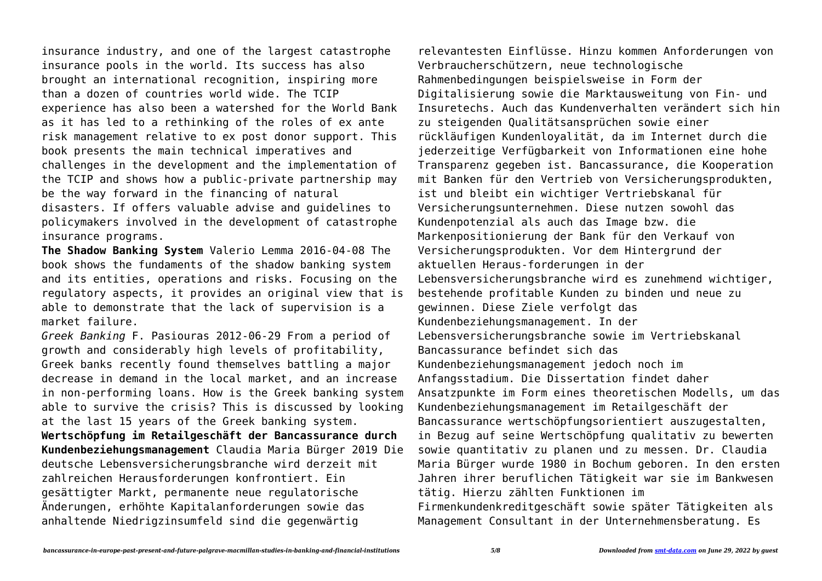insurance industry, and one of the largest catastrophe insurance pools in the world. Its success has also brought an international recognition, inspiring more than a dozen of countries world wide. The TCIP experience has also been a watershed for the World Bank as it has led to a rethinking of the roles of ex ante risk management relative to ex post donor support. This book presents the main technical imperatives and challenges in the development and the implementation of the TCIP and shows how a public-private partnership may be the way forward in the financing of natural disasters. If offers valuable advise and guidelines to policymakers involved in the development of catastrophe insurance programs.

**The Shadow Banking System** Valerio Lemma 2016-04-08 The book shows the fundaments of the shadow banking system and its entities, operations and risks. Focusing on the regulatory aspects, it provides an original view that is able to demonstrate that the lack of supervision is a market failure.

*Greek Banking* F. Pasiouras 2012-06-29 From a period of growth and considerably high levels of profitability, Greek banks recently found themselves battling a major decrease in demand in the local market, and an increase in non-performing loans. How is the Greek banking system able to survive the crisis? This is discussed by looking at the last 15 years of the Greek banking system. **Wertschöpfung im Retailgeschäft der Bancassurance durch Kundenbeziehungsmanagement** Claudia Maria Bürger 2019 Die deutsche Lebensversicherungsbranche wird derzeit mit zahlreichen Herausforderungen konfrontiert. Ein gesättigter Markt, permanente neue regulatorische Änderungen, erhöhte Kapitalanforderungen sowie das anhaltende Niedrigzinsumfeld sind die gegenwärtig

relevantesten Einflüsse. Hinzu kommen Anforderungen von Verbraucherschützern, neue technologische Rahmenbedingungen beispielsweise in Form der Digitalisierung sowie die Marktausweitung von Fin- und Insuretechs. Auch das Kundenverhalten verändert sich hin zu steigenden Qualitätsansprüchen sowie einer rückläufigen Kundenloyalität, da im Internet durch die jederzeitige Verfügbarkeit von Informationen eine hohe Transparenz gegeben ist. Bancassurance, die Kooperation mit Banken für den Vertrieb von Versicherungsprodukten, ist und bleibt ein wichtiger Vertriebskanal für Versicherungsunternehmen. Diese nutzen sowohl das Kundenpotenzial als auch das Image bzw. die Markenpositionierung der Bank für den Verkauf von Versicherungsprodukten. Vor dem Hintergrund der aktuellen Heraus-forderungen in der Lebensversicherungsbranche wird es zunehmend wichtiger, bestehende profitable Kunden zu binden und neue zu gewinnen. Diese Ziele verfolgt das Kundenbeziehungsmanagement. In der Lebensversicherungsbranche sowie im Vertriebskanal Bancassurance befindet sich das Kundenbeziehungsmanagement jedoch noch im Anfangsstadium. Die Dissertation findet daher Ansatzpunkte im Form eines theoretischen Modells, um das Kundenbeziehungsmanagement im Retailgeschäft der Bancassurance wertschöpfungsorientiert auszugestalten, in Bezug auf seine Wertschöpfung qualitativ zu bewerten sowie quantitativ zu planen und zu messen. Dr. Claudia Maria Bürger wurde 1980 in Bochum geboren. In den ersten Jahren ihrer beruflichen Tätigkeit war sie im Bankwesen tätig. Hierzu zählten Funktionen im Firmenkundenkreditgeschäft sowie später Tätigkeiten als Management Consultant in der Unternehmensberatung. Es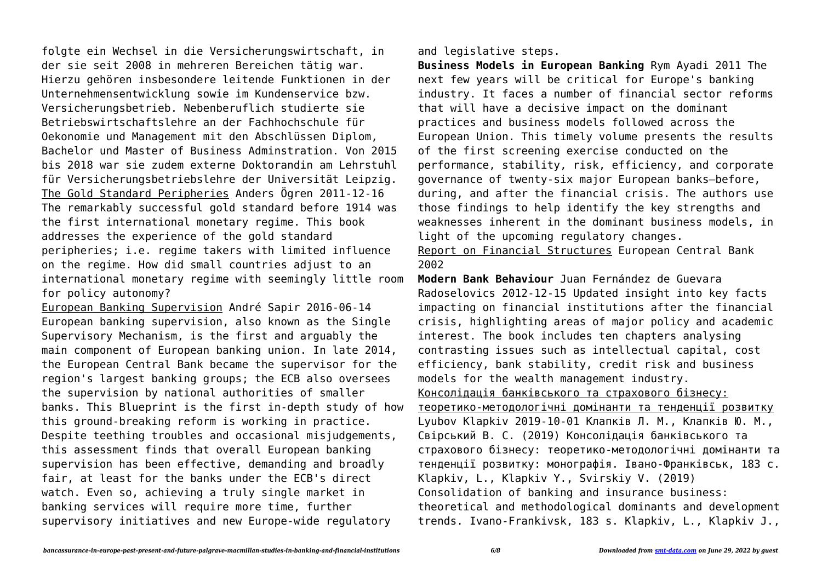folgte ein Wechsel in die Versicherungswirtschaft, in der sie seit 2008 in mehreren Bereichen tätig war. Hierzu gehören insbesondere leitende Funktionen in der Unternehmensentwicklung sowie im Kundenservice bzw. Versicherungsbetrieb. Nebenberuflich studierte sie Betriebswirtschaftslehre an der Fachhochschule für Oekonomie und Management mit den Abschlüssen Diplom, Bachelor und Master of Business Adminstration. Von 2015 bis 2018 war sie zudem externe Doktorandin am Lehrstuhl für Versicherungsbetriebslehre der Universität Leipzig. The Gold Standard Peripheries Anders Ögren 2011-12-16 The remarkably successful gold standard before 1914 was the first international monetary regime. This book addresses the experience of the gold standard peripheries; i.e. regime takers with limited influence on the regime. How did small countries adjust to an international monetary regime with seemingly little room for policy autonomy?

European Banking Supervision André Sapir 2016-06-14 European banking supervision, also known as the Single Supervisory Mechanism, is the first and arguably the main component of European banking union. In late 2014, the European Central Bank became the supervisor for the region's largest banking groups; the ECB also oversees the supervision by national authorities of smaller banks. This Blueprint is the first in-depth study of how this ground-breaking reform is working in practice. Despite teething troubles and occasional misjudgements, this assessment finds that overall European banking supervision has been effective, demanding and broadly fair, at least for the banks under the ECB's direct watch. Even so, achieving a truly single market in banking services will require more time, further supervisory initiatives and new Europe-wide regulatory

and legislative steps.

**Business Models in European Banking** Rym Ayadi 2011 The next few years will be critical for Europe's banking industry. It faces a number of financial sector reforms that will have a decisive impact on the dominant practices and business models followed across the European Union. This timely volume presents the results of the first screening exercise conducted on the performance, stability, risk, efficiency, and corporate governance of twenty-six major European banks—before, during, and after the financial crisis. The authors use those findings to help identify the key strengths and weaknesses inherent in the dominant business models, in light of the upcoming regulatory changes.

Report on Financial Structures European Central Bank 2002

**Modern Bank Behaviour** Juan Fernández de Guevara Radoselovics 2012-12-15 Updated insight into key facts impacting on financial institutions after the financial crisis, highlighting areas of major policy and academic interest. The book includes ten chapters analysing contrasting issues such as intellectual capital, cost efficiency, bank stability, credit risk and business models for the wealth management industry. Консолідація банківського та страхового бізнесу: теоретико-методологічні домінанти та тенденції розвитку Lyubov Klapkiv 2019-10-01 Клапків Л. М., Клапків Ю. М., Свірський В. С. (2019) Консолідація банківського та страхового бізнесу: теоретико-методологічні домінанти та тенденції розвитку: монографія. Івано-Франківськ, 183 с. Klapkiv, L., Klapkiv Y., Svirskiy V. (2019) Consolidation of banking and insurance business: theoretical and methodological dominants and development trends. Ivano-Frankivsk, 183 s. Klapkiv, L., Klapkiv J.,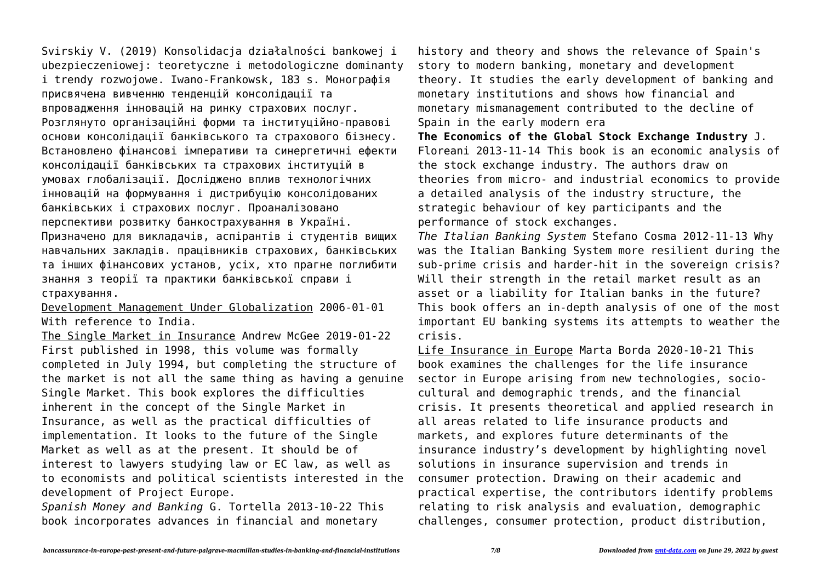Svirskiy V. (2019) Konsolidacja działalności bankowej i ubezpieczeniowej: teoretyczne i metodologiczne dominanty i trendy rozwojowe. Iwano-Frankowsk, 183 s. Монографія присвячена вивченню тенденцій консолідації та впровадження інновацій на ринку страхових послуг. Розглянуто організаційні форми та інституційно-правові основи консолідації банківського та страхового бізнесу. Встановлено фінансові імперативи та синергетичні ефекти консолідації банківських та страхових інституцій в умовах глобалізації. Досліджено вплив технологічних інновацій на формування і дистрибуцію консолідованих банківських і страхових послуг. Проаналізовано перспективи розвитку банкострахування в Україні. Призначено для викладачів, аспірантів і студентів вищих навчальних закладів. працівників страхових, банківських та інших фінансових установ, усіх, хто прагне поглибити знання з теорії та практики банківської справи і страхування.

Development Management Under Globalization 2006-01-01 With reference to India.

The Single Market in Insurance Andrew McGee 2019-01-22 First published in 1998, this volume was formally completed in July 1994, but completing the structure of the market is not all the same thing as having a genuine Single Market. This book explores the difficulties inherent in the concept of the Single Market in Insurance, as well as the practical difficulties of implementation. It looks to the future of the Single Market as well as at the present. It should be of interest to lawyers studying law or EC law, as well as to economists and political scientists interested in the development of Project Europe.

*Spanish Money and Banking* G. Tortella 2013-10-22 This book incorporates advances in financial and monetary

history and theory and shows the relevance of Spain's story to modern banking, monetary and development theory. It studies the early development of banking and monetary institutions and shows how financial and monetary mismanagement contributed to the decline of Spain in the early modern era

**The Economics of the Global Stock Exchange Industry** J. Floreani 2013-11-14 This book is an economic analysis of the stock exchange industry. The authors draw on theories from micro- and industrial economics to provide a detailed analysis of the industry structure, the strategic behaviour of key participants and the performance of stock exchanges.

*The Italian Banking System* Stefano Cosma 2012-11-13 Why was the Italian Banking System more resilient during the sub-prime crisis and harder-hit in the sovereign crisis? Will their strength in the retail market result as an asset or a liability for Italian banks in the future? This book offers an in-depth analysis of one of the most important EU banking systems its attempts to weather the crisis.

Life Insurance in Europe Marta Borda 2020-10-21 This book examines the challenges for the life insurance sector in Europe arising from new technologies, sociocultural and demographic trends, and the financial crisis. It presents theoretical and applied research in all areas related to life insurance products and markets, and explores future determinants of the insurance industry's development by highlighting novel solutions in insurance supervision and trends in consumer protection. Drawing on their academic and practical expertise, the contributors identify problems relating to risk analysis and evaluation, demographic challenges, consumer protection, product distribution,